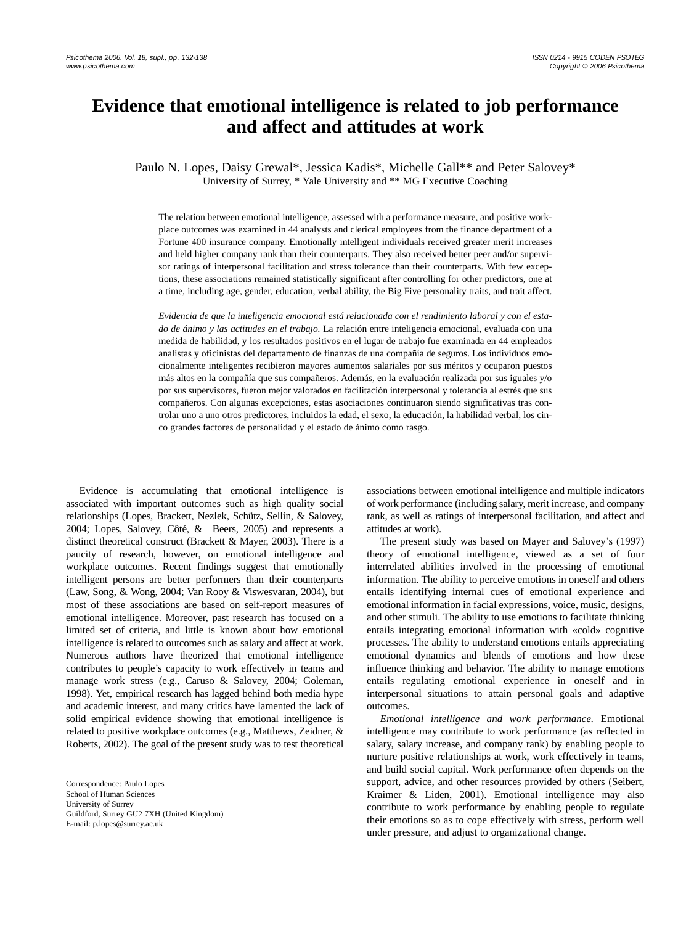# **Evidence that emotional intelligence is related to job performance and affect and attitudes at work**

Paulo N. Lopes, Daisy Grewal\*, Jessica Kadis\*, Michelle Gall\*\* and Peter Salovey\* University of Surrey, \* Yale University and \*\* MG Executive Coaching

The relation between emotional intelligence, assessed with a performance measure, and positive workplace outcomes was examined in 44 analysts and clerical employees from the finance department of a Fortune 400 insurance company. Emotionally intelligent individuals received greater merit increases and held higher company rank than their counterparts. They also received better peer and/or supervisor ratings of interpersonal facilitation and stress tolerance than their counterparts. With few exceptions, these associations remained statistically significant after controlling for other predictors, one at a time, including age, gender, education, verbal ability, the Big Five personality traits, and trait affect.

*Evidencia de que la inteligencia emocional está relacionada con el rendimiento laboral y con el estado de ánimo y las actitudes en el trabajo.* La relación entre inteligencia emocional, evaluada con una medida de habilidad, y los resultados positivos en el lugar de trabajo fue examinada en 44 empleados analistas y oficinistas del departamento de finanzas de una compañía de seguros. Los individuos emocionalmente inteligentes recibieron mayores aumentos salariales por sus méritos y ocuparon puestos más altos en la compañía que sus compañeros. Además, en la evaluación realizada por sus iguales y/o por sus supervisores, fueron mejor valorados en facilitación interpersonal y tolerancia al estrés que sus compañeros. Con algunas excepciones, estas asociaciones continuaron siendo significativas tras controlar uno a uno otros predictores, incluidos la edad, el sexo, la educación, la habilidad verbal, los cinco grandes factores de personalidad y el estado de ánimo como rasgo.

Evidence is accumulating that emotional intelligence is associated with important outcomes such as high quality social relationships (Lopes, Brackett, Nezlek, Schütz, Sellin, & Salovey, 2004; Lopes, Salovey, Côté, & Beers, 2005) and represents a distinct theoretical construct (Brackett & Mayer, 2003). There is a paucity of research, however, on emotional intelligence and workplace outcomes. Recent findings suggest that emotionally intelligent persons are better performers than their counterparts (Law, Song, & Wong, 2004; Van Rooy & Viswesvaran, 2004), but most of these associations are based on self-report measures of emotional intelligence. Moreover, past research has focused on a limited set of criteria, and little is known about how emotional intelligence is related to outcomes such as salary and affect at work. Numerous authors have theorized that emotional intelligence contributes to people's capacity to work effectively in teams and manage work stress (e.g., Caruso & Salovey, 2004; Goleman, 1998). Yet, empirical research has lagged behind both media hype and academic interest, and many critics have lamented the lack of solid empirical evidence showing that emotional intelligence is related to positive workplace outcomes (e.g., Matthews, Zeidner, & Roberts, 2002). The goal of the present study was to test theoretical associations between emotional intelligence and multiple indicators of work performance (including salary, merit increase, and company rank, as well as ratings of interpersonal facilitation, and affect and attitudes at work).

The present study was based on Mayer and Salovey's (1997) theory of emotional intelligence, viewed as a set of four interrelated abilities involved in the processing of emotional information. The ability to perceive emotions in oneself and others entails identifying internal cues of emotional experience and emotional information in facial expressions, voice, music, designs, and other stimuli. The ability to use emotions to facilitate thinking entails integrating emotional information with «cold» cognitive processes. The ability to understand emotions entails appreciating emotional dynamics and blends of emotions and how these influence thinking and behavior. The ability to manage emotions entails regulating emotional experience in oneself and in interpersonal situations to attain personal goals and adaptive outcomes.

*Emotional intelligence and work performance.* Emotional intelligence may contribute to work performance (as reflected in salary, salary increase, and company rank) by enabling people to nurture positive relationships at work, work effectively in teams, and build social capital. Work performance often depends on the support, advice, and other resources provided by others (Seibert, Kraimer & Liden, 2001). Emotional intelligence may also contribute to work performance by enabling people to regulate their emotions so as to cope effectively with stress, perform well under pressure, and adjust to organizational change.

Correspondence: Paulo Lopes School of Human Sciences University of Surrey Guildford, Surrey GU2 7XH (United Kingdom) E-mail: p.lopes@surrey.ac.uk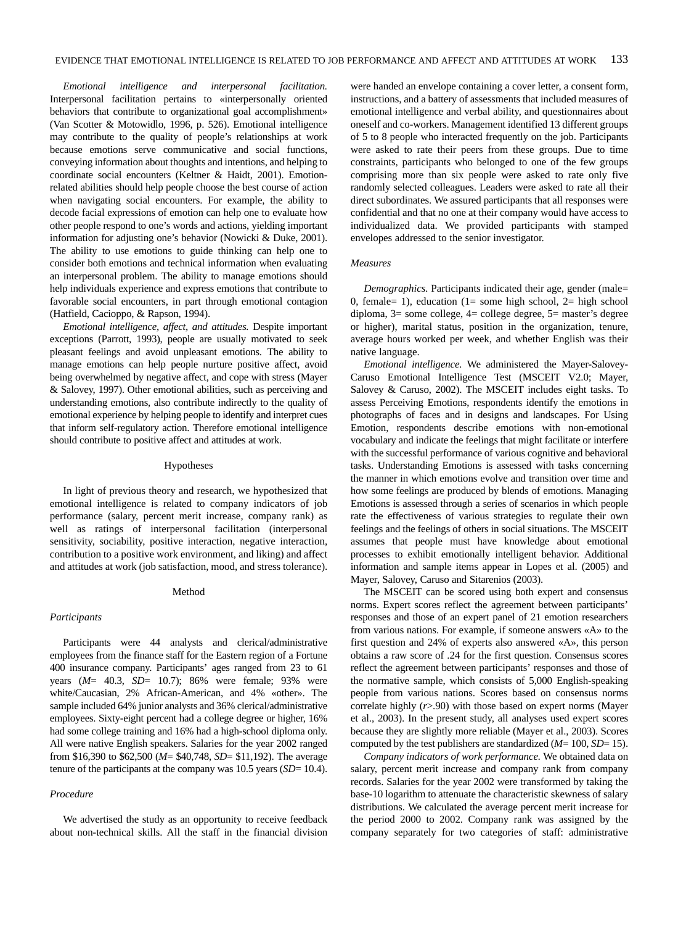*Emotional intelligence and interpersonal facilitation.* Interpersonal facilitation pertains to «interpersonally oriented behaviors that contribute to organizational goal accomplishment» (Van Scotter & Motowidlo, 1996, p. 526). Emotional intelligence may contribute to the quality of people's relationships at work because emotions serve communicative and social functions, conveying information about thoughts and intentions, and helping to coordinate social encounters (Keltner & Haidt, 2001). Emotionrelated abilities should help people choose the best course of action when navigating social encounters. For example, the ability to decode facial expressions of emotion can help one to evaluate how other people respond to one's words and actions, yielding important information for adjusting one's behavior (Nowicki & Duke, 2001). The ability to use emotions to guide thinking can help one to consider both emotions and technical information when evaluating an interpersonal problem. The ability to manage emotions should help individuals experience and express emotions that contribute to favorable social encounters, in part through emotional contagion (Hatfield, Cacioppo, & Rapson, 1994).

*Emotional intelligence, affect, and attitudes.* Despite important exceptions (Parrott, 1993), people are usually motivated to seek pleasant feelings and avoid unpleasant emotions. The ability to manage emotions can help people nurture positive affect, avoid being overwhelmed by negative affect, and cope with stress (Mayer &Salovey, 1997). Other emotional abilities, such as perceiving and understanding emotions, also contribute indirectly to the quality of emotional experience by helping people to identify and interpret cues that inform self-regulatory action. Therefore emotional intelligence should contribute to positive affect and attitudes at work.

## Hypotheses

In light of previous theory and research, we hypothesized that emotional intelligence is related to company indicators of job performance (salary, percent merit increase, company rank) as well as ratings of interpersonal facilitation (interpersonal sensitivity, sociability, positive interaction, negative interaction, contribution to a positive work environment, and liking) and affect and attitudes at work (job satisfaction, mood, and stress tolerance).

## Method

## *Participants*

Participants were 44 analysts and clerical/administrative employees from the finance staff for the Eastern region of a Fortune 400 insurance company. Participants' ages ranged from 23 to 61 years (*M*= 40.3, *SD*= 10.7); 86% were female; 93% were white/Caucasian, 2% African-American, and 4% «other». The sample included 64% junior analysts and 36% clerical/administrative employees. Sixty-eight percent had a college degree or higher, 16% had some college training and 16% had a high-school diploma only. All were native English speakers. Salaries for the year 2002 ranged from \$16,390 to \$62,500 (*M*= \$40,748, *SD*= \$11,192). The average tenure of the participants at the company was 10.5 years (*SD*= 10.4).

## *Procedure*

We advertised the study as an opportunity to receive feedback about non-technical skills. All the staff in the financial division were handed an envelope containing a cover letter, a consent form, instructions, and a battery of assessments that included measures of emotional intelligence and verbal ability, and questionnaires about oneself and co-workers. Management identified 13 different groups of 5 to 8 people who interacted frequently on the job. Participants were asked to rate their peers from these groups. Due to time constraints, participants who belonged to one of the few groups comprising more than six people were asked to rate only five randomly selected colleagues. Leaders were asked to rate all their direct subordinates. We assured participants that all responses were confidential and that no one at their company would have access to individualized data. We provided participants with stamped envelopes addressed to the senior investigator.

## *Measures*

*Demographics.* Participants indicated their age, gender (male= 0, female= 1), education (1= some high school, 2= high school diploma, 3= some college, 4= college degree, 5= master's degree or higher), marital status, position in the organization, tenure, average hours worked per week, and whether English was their native language.

*Emotional intelligence.* We administered the Mayer-Salovey-Caruso Emotional Intelligence Test (MSCEIT V2.0; Mayer, Salovey & Caruso, 2002). The MSCEIT includes eight tasks. To assess Perceiving Emotions, respondents identify the emotions in photographs of faces and in designs and landscapes. For Using Emotion, respondents describe emotions with non-emotional vocabulary and indicate the feelings that might facilitate or interfere with the successful performance of various cognitive and behavioral tasks. Understanding Emotions is assessed with tasks concerning the manner in which emotions evolve and transition over time and how some feelings are produced by blends of emotions. Managing Emotions is assessed through a series of scenarios in which people rate the effectiveness of various strategies to regulate their own feelings and the feelings of others in social situations. The MSCEIT assumes that people must have knowledge about emotional processes to exhibit emotionally intelligent behavior. Additional information and sample items appear in Lopes et al. (2005) and Mayer, Salovey, Caruso and Sitarenios (2003).

The MSCEIT can be scored using both expert and consensus norms. Expert scores reflect the agreement between participants' responses and those of an expert panel of 21 emotion researchers from various nations. For example, if someone answers «A» to the first question and 24% of experts also answered «A», this person obtains a raw score of .24 for the first question. Consensus scores reflect the agreement between participants' responses and those of the normative sample, which consists of 5,000 English-speaking people from various nations. Scores based on consensus norms correlate highly (*r*>.90) with those based on expert norms (Mayer et al., 2003). In the present study, all analyses used expert scores because they are slightly more reliable (Mayer et al., 2003). Scores computed by the test publishers are standardized (*M*= 100, *SD*= 15).

*Company indicators of work performance.* We obtained data on salary, percent merit increase and company rank from company records. Salaries for the year 2002 were transformed by taking the base-10 logarithm to attenuate the characteristic skewness of salary distributions. We calculated the average percent merit increase for the period 2000 to 2002. Company rank was assigned by the company separately for two categories of staff: administrative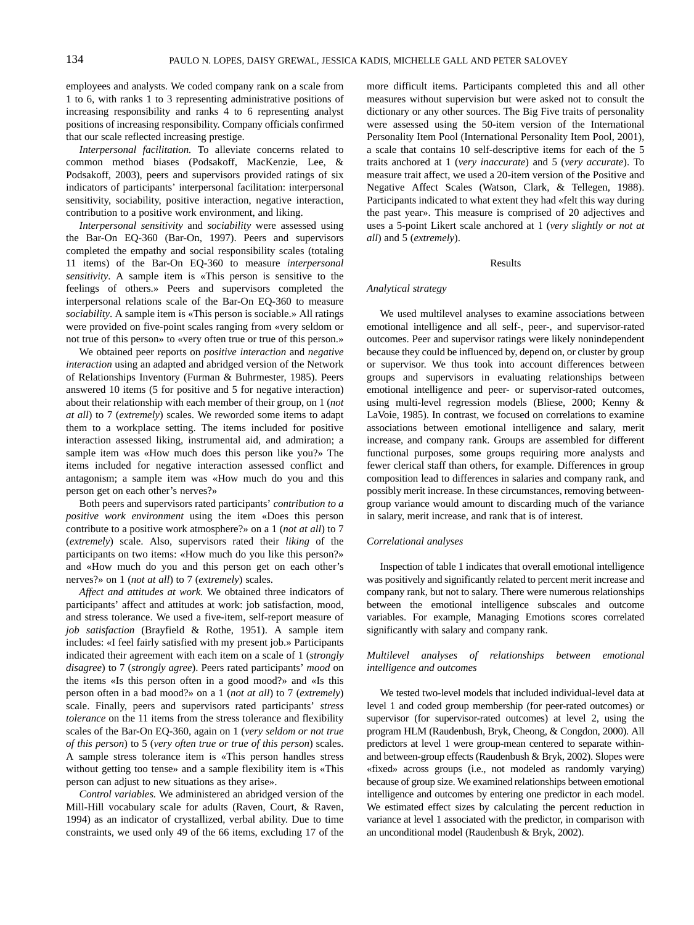employees and analysts. We coded company rank on a scale from 1 to 6, with ranks 1 to 3 representing administrative positions of increasing responsibility and ranks 4 to 6 representing analyst positions of increasing responsibility. Company officials confirmed that our scale reflected increasing prestige.

*Interpersonal facilitation.* To alleviate concerns related to common method biases (Podsakoff, MacKenzie, Lee, & Podsakoff, 2003), peers and supervisors provided ratings of six indicators of participants' interpersonal facilitation: interpersonal sensitivity, sociability, positive interaction, negative interaction, contribution to a positive work environment, and liking.

*Interpersonal sensitivity* and *sociability* were assessed using the Bar-On EQ-360 (Bar-On, 1997). Peers and supervisors completed the empathy and social responsibility scales (totaling 11 items) of the Bar-On EQ-360 to measure *interpersonal sensitivity*. A sample item is «This person is sensitive to the feelings of others.» Peers and supervisors completed the interpersonal relations scale of the Bar-On EQ-360 to measure *sociability*. A sample item is «This person is sociable.» All ratings were provided on five-point scales ranging from «very seldom or not true of this person» to «very often true or true of this person.»

We obtained peer reports on *positive interaction* and *negative interaction* using an adapted and abridged version of the Network of Relationships Inventory (Furman & Buhrmester, 1985). Peers answered 10 items (5 for positive and 5 for negative interaction) about their relationship with each member of their group, on 1 (*not at all*) to 7 (*extremely*) scales. We reworded some items to adapt them to a workplace setting. The items included for positive interaction assessed liking, instrumental aid, and admiration; a sample item was «How much does this person like you?» The items included for negative interaction assessed conflict and antagonism; a sample item was «How much do you and this person get on each other's nerves?»

Both peers and supervisors rated participants' *contribution to a positive work environment* using the item «Does this person contribute to a positive work atmosphere?» on a 1 (*not at all*) to 7 (*extremely*) scale. Also, supervisors rated their *liking* of the participants on two items: «How much do you like this person?» and «How much do you and this person get on each other's nerves?» on 1 (*not at all*) to 7 (*extremely*) scales.

*Affect and attitudes at work.* We obtained three indicators of participants' affect and attitudes at work: job satisfaction, mood, and stress tolerance. We used a five-item, self-report measure of job satisfaction (Brayfield & Rothe, 1951). A sample item includes: «I feel fairly satisfied with my present job.» Participants indicated their agreement with each item on a scale of 1 (*strongly disagree*) to 7 (*strongly agree*). Peers rated participants' *mood* on the items «Is this person often in a good mood?» and «Is this person often in a bad mood?» on a 1 (*not at all*) to 7 (*extremely*) scale. Finally, peers and supervisors rated participants' *stress tolerance* on the 11 items from the stress tolerance and flexibility scales of the Bar-On EQ-360, again on 1 (*very seldom or not true of this person*) to 5 (*very often true or true of this person*) scales. A sample stress tolerance item is «This person handles stress without getting too tense» and a sample flexibility item is «This person can adjust to new situations as they arise».

*Control variables.* We administered an abridged version of the Mill-Hill vocabulary scale for adults (Raven, Court, & Raven, 1994) as an indicator of crystallized, verbal ability. Due to time constraints, we used only 49 of the 66 items, excluding 17 of the more difficult items. Participants completed this and all other measures without supervision but were asked not to consult the dictionary or any other sources. The Big Five traits of personality were assessed using the 50-item version of the International Personality Item Pool (International Personality Item Pool, 2001), a scale that contains 10 self-descriptive items for each of the 5 traits anchored at 1 (*very inaccurate*) and 5 (*very accurate*). To measure trait affect, we used a 20-item version of the Positive and Negative Affect Scales (Watson, Clark, & Tellegen, 1988). Participants indicated to what extent they had «felt this way during the past year». This measure is comprised of 20 adjectives and uses a 5-point Likert scale anchored at 1 (*very slightly or not at all*) and 5 (*extremely*).

## Results

#### *Analytical strategy*

We used multilevel analyses to examine associations between emotional intelligence and all self-, peer-, and supervisor-rated outcomes. Peer and supervisor ratings were likely nonindependent because they could be influenced by, depend on, or cluster by group or supervisor. We thus took into account differences between groups and supervisors in evaluating relationships between emotional intelligence and peer- or supervisor-rated outcomes, using multi-level regression models (Bliese, 2000; Kenny & LaVoie, 1985). In contrast, we focused on correlations to examine associations between emotional intelligence and salary, merit increase, and company rank. Groups are assembled for different functional purposes, some groups requiring more analysts and fewer clerical staff than others, for example. Differences in group composition lead to differences in salaries and company rank, and possibly merit increase. In these circumstances, removing betweengroup variance would amount to discarding much of the variance in salary, merit increase, and rank that is of interest.

#### *Correlational analyses*

Inspection of table 1 indicates that overall emotional intelligence was positively and significantly related to percent merit increase and company rank, but not to salary. There were numerous relationships between the emotional intelligence subscales and outcome variables. For example, Managing Emotions scores correlated significantly with salary and company rank.

## *Multilevel analyses of relationships between emotional intelligence and outcomes*

We tested two-level models that included individual-level data at level 1 and coded group membership (for peer-rated outcomes) or supervisor (for supervisor-rated outcomes) at level 2, using the program HLM (Raudenbush, Bryk, Cheong, & Congdon, 2000). All predictors at level 1 were group-mean centered to separate withinand between-group effects (Raudenbush & Bryk, 2002). Slopes were «fixed» across groups (i.e., not modeled as randomly varying) because of group size. We examined relationships between emotional intelligence and outcomes by entering one predictor in each model. We estimated effect sizes by calculating the percent reduction in variance at level 1 associated with the predictor, in comparison with an unconditional model (Raudenbush & Bryk, 2002).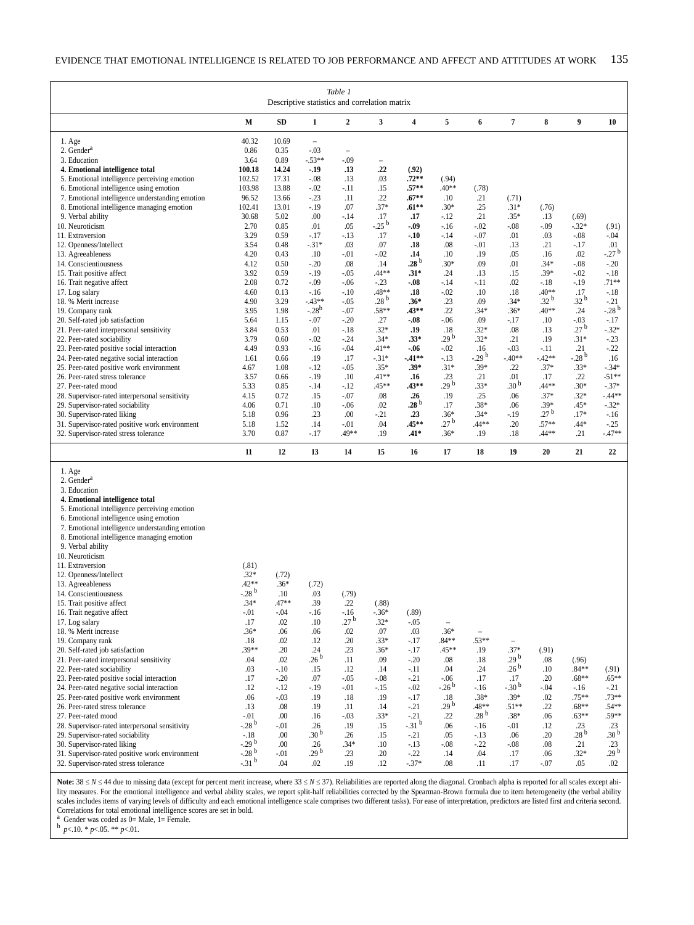| Table 1<br>Descriptive statistics and correlation matrix              |                     |               |                                    |                          |                           |                    |                        |                  |                                    |                  |                         |                         |
|-----------------------------------------------------------------------|---------------------|---------------|------------------------------------|--------------------------|---------------------------|--------------------|------------------------|------------------|------------------------------------|------------------|-------------------------|-------------------------|
|                                                                       | М                   | <b>SD</b>     | $\mathbf{1}$                       | $\mathbf 2$              | 3                         | 4                  | 5                      | 6                | 7                                  | 8                | 9                       | 10                      |
| 1. Age<br>2. Gender <sup>a</sup>                                      | 40.32<br>0.86       | 10.69<br>0.35 | $\overline{\phantom{0}}$<br>$-.03$ | $\overline{\phantom{a}}$ |                           |                    |                        |                  |                                    |                  |                         |                         |
| 3. Education                                                          | 3.64                | 0.89          | $-.53**$                           | $-.09$                   |                           |                    |                        |                  |                                    |                  |                         |                         |
| 4. Emotional intelligence total                                       | 100.18              | 14.24         | $-.19$                             | .13                      | .22                       | (.92)              |                        |                  |                                    |                  |                         |                         |
| 5. Emotional intelligence perceiving emotion                          | 102.52              | 17.31         | $-.08$                             | .13                      | .03                       | $.72**$            | (.94)                  |                  |                                    |                  |                         |                         |
| 6. Emotional intelligence using emotion                               | 103.98              | 13.88         | $-.02$                             | $-.11$                   | .15                       | $.57**$            | $.40**$                | (.78)            |                                    |                  |                         |                         |
| 7. Emotional intelligence understanding emotion                       | 96.52               | 13.66         | $-.23$                             | .11                      | .22                       | $.67**$            | .10                    | .21              | (.71)                              |                  |                         |                         |
| 8. Emotional intelligence managing emotion                            | 102.41<br>30.68     | 13.01<br>5.02 | $-19$                              | .07                      | $.37*$                    | $.61***$           | $.30*$                 | .25<br>.21       | $.31*$                             | (.76)            |                         |                         |
| 9. Verbal ability<br>10. Neuroticism                                  | 2.70                | 0.85          | .00<br>.01                         | $-.14$<br>.05            | .17<br>$-.25b$            | .17<br>-.09        | $-12$<br>$-.16$        | $-.02$           | $.35*$<br>$-0.08$                  | .13<br>$-.09$    | (.69)<br>$-.32*$        | (.91)                   |
| 11. Extraversion                                                      | 3.29                | 0.59          | $-17$                              | $-.13$                   | .17                       | $-.10$             | $-14$                  | $-.07$           | .01                                | .03              | $-.08$                  | $-.04$                  |
| 12. Openness/Intellect                                                | 3.54                | 0.48          | $-.31*$                            | .03                      | .07                       | .18                | .08                    | $-.01$           | .13                                | .21              | $-.17$                  | .01                     |
| 13. Agreeableness                                                     | 4.20                | 0.43          | .10                                | $-.01$                   | $-.02$                    | .14                | .10                    | .19              | .05                                | .16              | .02                     | $-.27b$                 |
| 14. Conscientiousness                                                 | 4.12                | 0.50          | $-.20$                             | .08                      | .14                       | .28 $^{\rm b}$     | $.30*$                 | .09              | .01                                | $.34*$           | $-.08$                  | $-.20$                  |
| 15. Trait positive affect                                             | 3.92                | 0.59          | $-19$                              | $-.05$                   | .44**                     | $.31*$             | .24                    | .13              | .15                                | $.39*$           | $-.02$                  | $-.18$                  |
| 16. Trait negative affect                                             | 2.08                | 0.72          | $-.09$                             | $-.06$                   | $-.23$                    | $-0.08$            | $-14$                  | $-.11$           | .02                                | $-.18$           | $-19$                   | $.71**$                 |
| 17. Log salary                                                        | 4.60                | 0.13          | $-16$<br>$-43**$                   | $-.10$                   | .48**<br>.28 <sup>b</sup> | .18                | $-.02$                 | .10              | .18<br>$.34*$                      | .40**<br>.32 $b$ | .17<br>.32 $b$          | $-.18$                  |
| 18. % Merit increase<br>19. Company rank                              | 4.90<br>3.95        | 3.29<br>1.98  | $-0.28^{b}$                        | $-.05$<br>$-.07$         | $.58**$                   | $.36*$<br>$.43***$ | .23<br>.22             | .09<br>$.34*$    | $.36*$                             | .40**            | .24                     | $-.21$<br>$-28^{b}$     |
| 20. Self-rated job satisfaction                                       | 5.64                | 1.15          | $-.07$                             | $-.20$                   | .27                       | $-.08$             | $-.06$                 | .09              | $-.17$                             | .10              | $-.03$                  | $-.17$                  |
| 21. Peer-rated interpersonal sensitivity                              | 3.84                | 0.53          | .01                                | $-18$                    | $.32*$                    | .19                | .18                    | $.32*$           | .08                                | .13              | .27 <sup>b</sup>        | $-.32*$                 |
| 22. Peer-rated sociability                                            | 3.79                | 0.60          | $-.02$                             | $-.24$                   | $.34*$                    | $.33*$             | 29 <sup>b</sup>        | $.32*$           | .21                                | .19              | $.31*$                  | $-23$                   |
| 23. Peer-rated positive social interaction                            | 4.49                | 0.93          | $-.16$                             | $-.04$                   | $.41**$                   | -.06               | $-.02$                 | .16              | $-.03$                             | $-.11$           | .21                     | $-.22$                  |
| 24. Peer-rated negative social interaction                            | 1.61                | 0.66          | .19                                | .17                      | $-.31*$                   | $-41**$            | $-.13$                 | $-29^{b}$        | $-40**$                            | $-42**$          | $-.28b$                 | .16                     |
| 25. Peer-rated positive work environment                              | 4.67                | 1.08          | $-12$                              | $-.05$                   | $.35*$                    | .39*               | $.31*$                 | $.39*$           | .22                                | $.37*$           | $.33*$                  | $-.34*$                 |
| 26. Peer-rated stress tolerance                                       | 3.57                | 0.66          | $-19$                              | .10                      | $.41**$                   | .16                | .23<br>29 <sup>b</sup> | .21              | .01<br>.30 <sup>b</sup>            | .17              | .22                     | $-51**$                 |
| 27. Peer-rated mood<br>28. Supervisor-rated interpersonal sensitivity | 5.33<br>4.15        | 0.85<br>0.72  | $-14$<br>.15                       | $-.12$<br>$-.07$         | $.45**$<br>.08            | .43**<br>.26       | .19                    | $.33*$<br>.25    | .06                                | .44**<br>$.37*$  | $.30*$<br>$.32*$        | $-37*$<br>$-44**$       |
| 29. Supervisor-rated sociability                                      | 4.06                | 0.71          | .10                                | $-.06$                   | .02                       | .28 $^{\rm b}$     | .17                    | $.38*$           | .06                                | .39*             | $.45*$                  | $-.32*$                 |
| 30. Supervisor-rated liking                                           | 5.18                | 0.96          | .23                                | .00.                     | $-21$                     | .23                | $.36*$                 | $.34*$           | $-19$                              | .27 $^{\rm b}$   | $.17*$                  | $-.16$                  |
| 31. Supervisor-rated positive work environment                        | 5.18                | 1.52          | .14                                | $-.01$                   | .04                       | $.45***$           | .27 $^{\rm b}$         | $.44**$          | .20                                | $.57**$          | .44*                    | $-.25$                  |
| 32. Supervisor-rated stress tolerance                                 | 3.70                | 0.87          | $-.17$                             | .49**                    | .19                       | .41*               | $.36*$                 | .19              | .18                                | .44**            | .21                     | $-.47**$                |
|                                                                       | 11                  | 12            | 13                                 | 14                       | 15                        | 16                 | 17                     | 18               | 19                                 | 20               | 21                      | 22                      |
| 1. Age                                                                |                     |               |                                    |                          |                           |                    |                        |                  |                                    |                  |                         |                         |
| 2. Gender <sup>a</sup>                                                |                     |               |                                    |                          |                           |                    |                        |                  |                                    |                  |                         |                         |
| 3. Education<br>4. Emotional intelligence total                       |                     |               |                                    |                          |                           |                    |                        |                  |                                    |                  |                         |                         |
| 5. Emotional intelligence perceiving emotion                          |                     |               |                                    |                          |                           |                    |                        |                  |                                    |                  |                         |                         |
| 6. Emotional intelligence using emotion                               |                     |               |                                    |                          |                           |                    |                        |                  |                                    |                  |                         |                         |
| 7. Emotional intelligence understanding emotion                       |                     |               |                                    |                          |                           |                    |                        |                  |                                    |                  |                         |                         |
| 8. Emotional intelligence managing emotion                            |                     |               |                                    |                          |                           |                    |                        |                  |                                    |                  |                         |                         |
| 9. Verbal ability                                                     |                     |               |                                    |                          |                           |                    |                        |                  |                                    |                  |                         |                         |
| 10. Neuroticism                                                       |                     |               |                                    |                          |                           |                    |                        |                  |                                    |                  |                         |                         |
| 11. Extraversion<br>12. Openness/Intellect                            | (.81)<br>$.32*$     | (.72)         |                                    |                          |                           |                    |                        |                  |                                    |                  |                         |                         |
| 13. Agreeableness                                                     | $.42**$             | $.36*$        | (.72)                              |                          |                           |                    |                        |                  |                                    |                  |                         |                         |
| 14. Conscientiousness                                                 | $-.28b$             | .10           | .03                                | (.79)                    |                           |                    |                        |                  |                                    |                  |                         |                         |
| 15. Trait positive affect                                             | .34*                | .47**         | .39                                | .22                      | (.88)                     |                    |                        |                  |                                    |                  |                         |                         |
| 16. Trait negative affect                                             | $-0.01$             | $-.04$        | $-.16$                             | $-.16$                   | $-.36*$                   | (.89)              |                        |                  |                                    |                  |                         |                         |
| 17. Log salary                                                        | .17                 | .02           | .10                                | $27^{\circ}$             | $.32*$                    | $-.05$             |                        |                  |                                    |                  |                         |                         |
| 18. % Merit increase                                                  | $.36*$              | .06           | .06                                | .02                      | .07                       | .03                | $.36*$                 |                  |                                    |                  |                         |                         |
| 19. Company rank<br>20. Self-rated job satisfaction                   | .18<br>$.39**$      | .02           | .12                                | .20                      | $.33*$<br>$.36*$          | -.17               | $.84**$<br>.45**       | $.53**$          | $\overline{\phantom{a}}$<br>$.37*$ |                  |                         |                         |
| 21. Peer-rated interpersonal sensitivity                              | .04                 | .20<br>.02    | .24<br>.26 <sup>b</sup>            | .23<br>.11               | .09                       | -.17<br>$-.20$     | $.08\,$                | .19<br>.18       | .29 $^{\rm b}$                     | (.91)<br>.08     | (.96)                   |                         |
| 22. Peer-rated sociability                                            | .03                 | $-.10$        | .15                                | .12                      | .14                       | -.11               | .04                    | .24              | .26 <sup>b</sup>                   | .10              | $.84**$                 | (.91)                   |
| 23. Peer-rated positive social interaction                            | .17                 | $-.20$        | .07                                | $-.05$                   | $-0.08$                   | $-21$              | $-.06$                 | .17              | .17                                | .20              | $.68**$                 | $.65***$                |
| 24. Peer-rated negative social interaction                            | .12                 | $-.12$        | $-.19$                             | $-.01$                   | $-15$                     | $-0.02$            | $-0.26b$               | $-.16$           | $-.30b$                            | $-.04$           | $-.16$                  | $-.21$                  |
| 25. Peer-rated positive work environment                              | .06                 | $-.03$        | .19                                | .18                      | .19                       | -.17               | .18                    | .38*             | $.39*$                             | .02              | $.75***$                | $.73**$                 |
| 26. Peer-rated stress tolerance                                       | .13                 | .08           | .19                                | .11                      | .14                       | -.21               | .29 <sup>b</sup>       | $.48**$          | $.51**$                            | .22              | $.68**$                 | $.54**$                 |
| 27. Peer-rated mood                                                   | $-0.01$             | .00           | .16                                | $-.03$                   | $.33*$                    | $-21$              | .22                    | .28 <sup>b</sup> | $.38*$                             | .06              | $.63**$                 | $.59**$                 |
| 28. Supervisor-rated interpersonal sensitivity                        | $-28^{b}$           | $-.01$        | .26<br>.30 <sup>b</sup>            | .19                      | .15                       | $-31^{b}$          | .06                    | $-.16$           | $-.01$                             | .12              | .23<br>.28 <sup>b</sup> | .23<br>.30 <sup>b</sup> |
| 29. Supervisor-rated sociability<br>30. Supervisor-rated liking       | $-.18$<br>$-29^{b}$ | .00<br>.00    | .26                                | .26<br>$.34*$            | .15<br>.10                | -.21<br>$-.13$     | .05<br>$-.08$          | $-.13$<br>$-.22$ | .06<br>$-.08$                      | .20<br>.08       | .21                     | .23                     |
| 31. Supervisor-rated positive work environment                        | $-0.28$ b           | $-.01$        | .29 <sup>b</sup>                   | .23                      | .20                       | $-.22$             | .14                    | .04              | .17                                | .06              | $.32*$                  | 29 <sup>b</sup>         |
| 32. Supervisor-rated stress tolerance                                 | $-31^{b}$           | .04           | .02                                | .19                      | .12                       | $-.37*$            | .08                    | .11              | .17                                | $-.07$           | .05                     | .02                     |

Note: 38 *N* 44 due to missing data (except for percent merit increase, where 33 *N* 37). Reliabilities are reported along the diagonal. Cronbach alpha is reported for all scales except ability measures. For the emotional intelligence and verbal ability scales, we report split-half reliabilities corrected by the Spearman-Brown formula due to item heterogeneity (the verbal ability scales includes items of varying levels of difficulty and each emotional intelligence scale comprises two different tasks). For ease of interpretation, predictors are listed first and criteria second. Correlations for total emotional intelligence scores are set in bold.

<sup>a</sup> Gender was coded as 0= Male, 1= Female. b *<sup>p</sup>*<.10. \* *p*<.05. \*\* *p*<.01.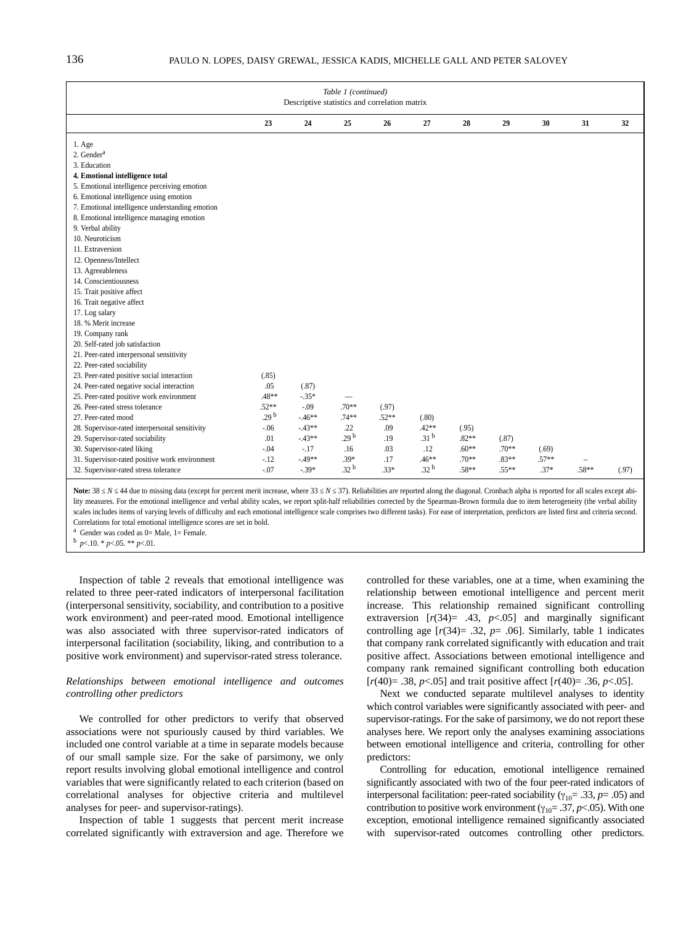| Table 1 (continued)<br>Descriptive statistics and correlation matrix                                                                                                                                                                                                                                                                                                                                                                                                                                                                                                                                                                                                                                                                                                                                                                                |                                                      |                                       |                               |                   |                                    |                             |                     |                   |         |       |  |  |
|-----------------------------------------------------------------------------------------------------------------------------------------------------------------------------------------------------------------------------------------------------------------------------------------------------------------------------------------------------------------------------------------------------------------------------------------------------------------------------------------------------------------------------------------------------------------------------------------------------------------------------------------------------------------------------------------------------------------------------------------------------------------------------------------------------------------------------------------------------|------------------------------------------------------|---------------------------------------|-------------------------------|-------------------|------------------------------------|-----------------------------|---------------------|-------------------|---------|-------|--|--|
|                                                                                                                                                                                                                                                                                                                                                                                                                                                                                                                                                                                                                                                                                                                                                                                                                                                     | 23                                                   | 24                                    | 25                            | 26                | 27                                 | 28                          | 29                  | 30                | 31      | 32    |  |  |
| 1. Age<br>$2.$ Gender $a$<br>3. Education<br>4. Emotional intelligence total<br>5. Emotional intelligence perceiving emotion<br>6. Emotional intelligence using emotion<br>7. Emotional intelligence understanding emotion<br>8. Emotional intelligence managing emotion<br>9. Verbal ability<br>10. Neuroticism<br>11. Extraversion<br>12. Openness/Intellect<br>13. Agreeableness<br>14. Conscientiousness<br>15. Trait positive affect<br>16. Trait negative affect<br>17. Log salary<br>18. % Merit increase<br>19. Company rank<br>20. Self-rated job satisfaction<br>21. Peer-rated interpersonal sensitivity<br>22. Peer-rated sociability<br>23. Peer-rated positive social interaction<br>24. Peer-rated negative social interaction<br>25. Peer-rated positive work environment<br>26. Peer-rated stress tolerance<br>27. Peer-rated mood | (.85)<br>.05<br>.48**<br>$.52**$<br>.29 <sup>b</sup> | (.87)<br>$-.35*$<br>$-.09$<br>$-46**$ | $.70**$<br>$.74**$            | (.97)<br>$.52**$  | (.80)                              |                             |                     |                   |         |       |  |  |
| 28. Supervisor-rated interpersonal sensitivity<br>29. Supervisor-rated sociability<br>30. Supervisor-rated liking                                                                                                                                                                                                                                                                                                                                                                                                                                                                                                                                                                                                                                                                                                                                   | $-.06$<br>.01<br>$-.04$                              | $-43**$<br>$-43**$<br>$-.17$          | .22<br>29 <sup>b</sup><br>.16 | .09<br>.19<br>.03 | $.42**$<br>.31 <sup>b</sup><br>.12 | (.95)<br>$.82**$<br>$.60**$ | (.87)<br>$.70**$    | (.69)             |         |       |  |  |
| 31. Supervisor-rated positive work environment<br>32. Supervisor-rated stress tolerance                                                                                                                                                                                                                                                                                                                                                                                                                                                                                                                                                                                                                                                                                                                                                             | $-.12$<br>$-.07$                                     | $-49**$<br>$-.39*$                    | $.39*$<br>.32 <sup>b</sup>    | .17<br>$.33*$     | $.46**$<br>.32 <sup>b</sup>        | $.70**$<br>$.58**$          | $.83**$<br>$.55***$ | $.57**$<br>$.37*$ | $.58**$ | (.97) |  |  |

Note: 38 *N* 44 due to missing data (except for percent merit increase, where 33 *N* 37). Reliabilities are reported along the diagonal. Cronbach alpha is reported for all scales except ability measures. For the emotional intelligence and verbal ability scales, we report split-half reliabilities corrected by the Spearman-Brown formula due to item heterogeneity (the verbal ability scales includes items of varying levels of difficulty and each emotional intelligence scale comprises two different tasks). For ease of interpretation, predictors are listed first and criteria second. Correlations for total emotional intelligence scores are set in bold.

<sup>a</sup> Gender was coded as 0= Male, 1= Female.<br><sup>b</sup>  $p < .10. * p < .05. ** p < .01.$ 

Inspection of table 2 reveals that emotional intelligence was related to three peer-rated indicators of interpersonal facilitation (interpersonal sensitivity, sociability, and contribution to a positive work environment) and peer-rated mood. Emotional intelligence was also associated with three supervisor-rated indicators of interpersonal facilitation (sociability, liking, and contribution to a positive work environment) and supervisor-rated stress tolerance.

## *Relationships between emotional intelligence and outcomes controlling other predictors*

We controlled for other predictors to verify that observed associations were not spuriously caused by third variables. We included one control variable at a time in separate models because of our small sample size. For the sake of parsimony, we only report results involving global emotional intelligence and control variables that were significantly related to each criterion (based on correlational analyses for objective criteria and multilevel analyses for peer- and supervisor-ratings).

Inspection of table 1 suggests that percent merit increase correlated significantly with extraversion and age. Therefore we controlled for these variables, one at a time, when examining the relationship between emotional intelligence and percent merit increase. This relationship remained significant controlling extraversion  $[r(34)= .43, p<.05]$  and marginally significant controlling age  $[r(34) = .32, p = .06]$ . Similarly, table 1 indicates that company rank correlated significantly with education and trait positive affect. Associations between emotional intelligence and company rank remained significant controlling both education [*r*(40)= .38, *p*<.05] and trait positive affect [*r*(40)= .36, *p*<.05].

Next we conducted separate multilevel analyses to identity which control variables were significantly associated with peer- and supervisor-ratings. For the sake of parsimony, we do not report these analyses here. We report only the analyses examining associations between emotional intelligence and criteria, controlling for other predictors:

Controlling for education, emotional intelligence remained significantly associated with two of the four peer-rated indicators of interpersonal facilitation: peer-rated sociability ( $\gamma_{10}$ = .33, *p*= .05) and contribution to positive work environment ( $\gamma_{10}$  = .37, *p* < .05). With one exception, emotional intelligence remained significantly associated with supervisor-rated outcomes controlling other predictors.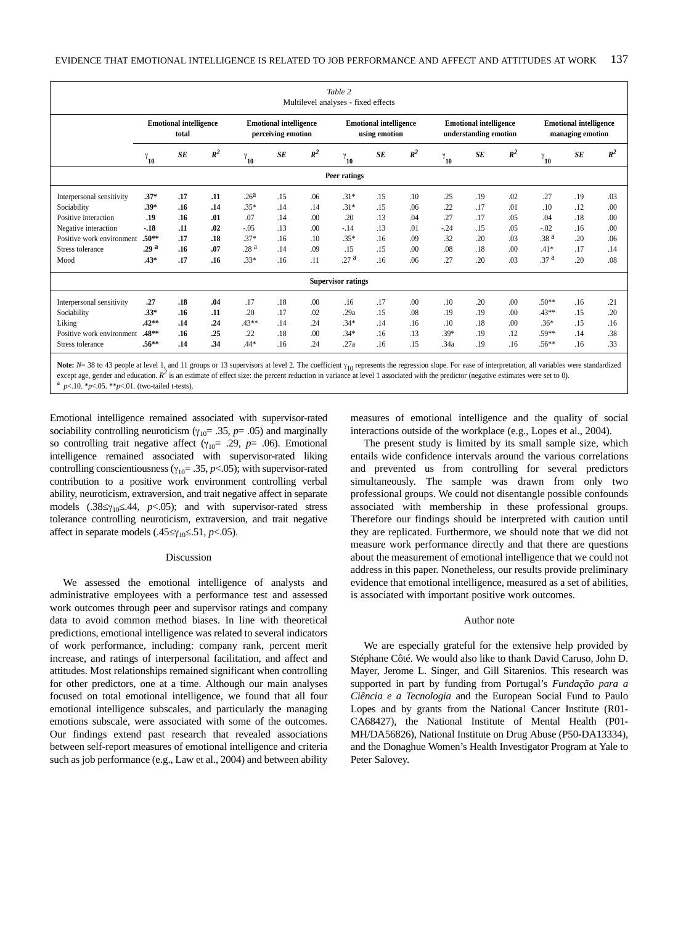|                                                                                                                                                                                                |                                        |     |       |                                                     |           |       | Table 2<br>Multilevel analyses - fixed effects |           |                  |                                                        |     |       |                                                   |     |       |
|------------------------------------------------------------------------------------------------------------------------------------------------------------------------------------------------|----------------------------------------|-----|-------|-----------------------------------------------------|-----------|-------|------------------------------------------------|-----------|------------------|--------------------------------------------------------|-----|-------|---------------------------------------------------|-----|-------|
|                                                                                                                                                                                                | <b>Emotional intelligence</b><br>total |     |       | <b>Emotional intelligence</b><br>perceiving emotion |           |       | <b>Emotional intelligence</b><br>using emotion |           |                  | <b>Emotional intelligence</b><br>understanding emotion |     |       | <b>Emotional intelligence</b><br>managing emotion |     |       |
|                                                                                                                                                                                                | $\gamma_{10}$                          | SE  | $R^2$ | $\gamma_{10}$                                       | <b>SE</b> | $R^2$ | $\mathbf{Y_{10}}$                              | <b>SE</b> | $R^2$            | $\gamma_{\mathbf{10}}^{\phantom{\dag}}$                | SE  | $R^2$ | $\mathbf{Y_{10}}$                                 | SE  | $R^2$ |
| Peer ratings                                                                                                                                                                                   |                                        |     |       |                                                     |           |       |                                                |           |                  |                                                        |     |       |                                                   |     |       |
| Interpersonal sensitivity                                                                                                                                                                      | $.37*$                                 | .17 | .11   | .26 <sup>a</sup>                                    | .15       | .06   | $.31*$                                         | .15       | .10              | .25                                                    | .19 | .02   | .27                                               | .19 | .03   |
| Sociability                                                                                                                                                                                    | $.39*$                                 | .16 | .14   | $.35*$                                              | .14       | .14   | $.31*$                                         | .15       | .06              | .22                                                    | .17 | .01   | .10                                               | .12 | .00   |
| Positive interaction                                                                                                                                                                           | .19                                    | .16 | .01   | .07                                                 | .14       | .00   | .20                                            | .13       | .04              | .27                                                    | .17 | .05   | .04                                               | .18 | .00   |
| Negative interaction                                                                                                                                                                           | $-18$                                  | .11 | .02   | $-.05$                                              | .13       | .00   | $-.14$                                         | .13       | .01              | $-.24$                                                 | .15 | .05   | $-.02$                                            | .16 | .00   |
| Positive work environment                                                                                                                                                                      | $.50***$                               | .17 | .18   | $.37*$                                              | .16       | .10   | $.35*$                                         | .16       | .09              | .32                                                    | .20 | .03   | .38 <sup>a</sup>                                  | .20 | .06   |
| Stress tolerance                                                                                                                                                                               | .29 <sup>a</sup>                       | .16 | .07   | .28 <sup>a</sup>                                    | .14       | .09   | .15                                            | .15       | .00 <sub>1</sub> | .08                                                    | .18 | .00   | $.41*$                                            | .17 | .14   |
| Mood                                                                                                                                                                                           | $.43*$                                 | .17 | .16   | $.33*$                                              | .16       | .11   | .27 <sup>a</sup>                               | .16       | .06              | .27                                                    | .20 | .03   | .37 <sup>a</sup>                                  | .20 | .08   |
| <b>Supervisor ratings</b>                                                                                                                                                                      |                                        |     |       |                                                     |           |       |                                                |           |                  |                                                        |     |       |                                                   |     |       |
| Interpersonal sensitivity                                                                                                                                                                      | .27                                    | .18 | .04   | .17                                                 | .18       | .00   | .16                                            | .17       | .00              | .10                                                    | .20 | .00   | $.50**$                                           | .16 | .21   |
| Sociability                                                                                                                                                                                    | $.33*$                                 | .16 | .11   | .20                                                 | .17       | .02   | .29a                                           | .15       | .08              | .19                                                    | .19 | .00   | $.43**$                                           | .15 | .20   |
| Liking                                                                                                                                                                                         | $.42**$                                | .14 | .24   | $.43**$                                             | .14       | .24   | $.34*$                                         | .14       | .16              | .10                                                    | .18 | .00   | $.36*$                                            | .15 | .16   |
| Positive work environment                                                                                                                                                                      | $.48**$                                | .16 | .25   | .22                                                 | .18       | .00   | $.34*$                                         | .16       | .13              | .39*                                                   | .19 | .12   | .59**                                             | .14 | .38   |
| Stress tolerance                                                                                                                                                                               | $.56***$                               | .14 | .34   | $.44*$                                              | .16       | .24   | .27a                                           | .16       | .15              | .34a                                                   | .19 | .16   | $.56**$                                           | .16 | .33   |
| Note: N=38 to 43 people at level 1 and 11 groups or 13 supervisors at level 2. The coefficient y = represents the regression slope. For ease of interpretation all variables were standardized |                                        |     |       |                                                     |           |       |                                                |           |                  |                                                        |     |       |                                                   |     |       |

The coefficient γ<sub>10</sub> repi Note: N= 38 to 43 people at level 1, and 11 groups or 13 supervisors at level 2. The coefficient  $\gamma_{10}$  represents the regression slope. For ease of interpretation, all variables were standardized except age, gender and <sup>a</sup> *p*<.10. \**p*<.05. \*\**p*<.01. (two-tailed t-tests).

Emotional intelligence remained associated with supervisor-rated sociability controlling neuroticism ( $\gamma_{10}$ = .35,  $p$ = .05) and marginally so controlling trait negative affect ( $\gamma_{10}$ = .29, *p*= .06). Emotional intelligence remained associated with supervisor-rated liking controlling conscientiousness ( $\gamma_{10}$ = .35, *p*<.05); with supervisor-rated contribution to a positive work environment controlling verbal ability, neuroticism, extraversion, and trait negative affect in separate models (.38  $\gamma_{10}$ .44, *p*<.05); and with supervisor-rated stress tolerance controlling neuroticism, extraversion, and trait negative affect in separate models (.45  $\gamma_{10}$ .51, *p*<.05).

#### Discussion

We assessed the emotional intelligence of analysts and administrative employees with a performance test and assessed work outcomes through peer and supervisor ratings and company data to avoid common method biases. In line with theoretical predictions, emotional intelligence was related to several indicators of work performance, including: company rank, percent merit increase, and ratings of interpersonal facilitation, and affect and attitudes. Most relationships remained significant when controlling for other predictors, one at a time. Although our main analyses focused on total emotional intelligence, we found that all four emotional intelligence subscales, and particularly the managing emotions subscale, were associated with some of the outcomes. Our findings extend past research that revealed associations between self-report measures of emotional intelligence and criteria such as job performance (e.g., Law et al., 2004) and between ability measures of emotional intelligence and the quality of social interactions outside of the workplace (e.g., Lopes et al., 2004).

The present study is limited by its small sample size, which entails wide confidence intervals around the various correlations and prevented us from controlling for several predictors simultaneously. The sample was drawn from only two professional groups. We could not disentangle possible confounds associated with membership in these professional groups. Therefore our findings should be interpreted with caution until they are replicated. Furthermore, we should note that we did not measure work performance directly and that there are questions about the measurement of emotional intelligence that we could not address in this paper. Nonetheless, our results provide preliminary evidence that emotional intelligence, measured as a set of abilities, is associated with important positive work outcomes.

## Author note

We are especially grateful for the extensive help provided by Stéphane Côté. We would also like to thank David Caruso, John D. Mayer, Jerome L. Singer, and Gill Sitarenios. This research was supported in part by funding from Portugal's *Fundação para a Ciência e a Tecnologia* and the European Social Fund to Paulo Lopes and by grants from the National Cancer Institute (R01- CA68427), the National Institute of Mental Health (P01- MH/DA56826), National Institute on Drug Abuse (P50-DA13334), and the Donaghue Women's Health Investigator Program at Yale to Peter Salovey.